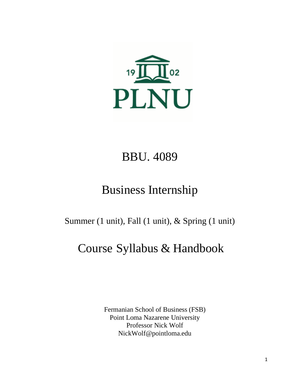

# BBU. 4089

# Business Internship

Summer (1 unit), Fall (1 unit), & Spring (1 unit)

# Course Syllabus & Handbook

Fermanian School of Business (FSB) Point Loma Nazarene University Professor Nick Wolf NickWolf@pointloma.edu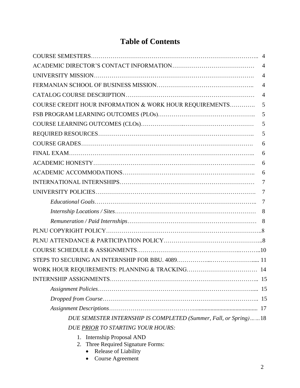# **Table of Contents**

| $\overline{4}$                                                   |  |
|------------------------------------------------------------------|--|
| $\overline{4}$                                                   |  |
| $\overline{4}$                                                   |  |
| $\overline{4}$                                                   |  |
| COURSE CREDIT HOUR INFORMATION & WORK HOUR REQUIREMENTS<br>5     |  |
| 5                                                                |  |
| 5                                                                |  |
| 5                                                                |  |
| 6                                                                |  |
| 6                                                                |  |
| 6                                                                |  |
| 6                                                                |  |
| $\overline{7}$                                                   |  |
| 7                                                                |  |
| 7                                                                |  |
| 8                                                                |  |
|                                                                  |  |
|                                                                  |  |
|                                                                  |  |
|                                                                  |  |
|                                                                  |  |
| 14                                                               |  |
|                                                                  |  |
|                                                                  |  |
|                                                                  |  |
|                                                                  |  |
| DUE SEMESTER INTERNSHIP IS COMPLETED (Summer, Fall, or Spring)18 |  |
| DUE PRIOR TO STARTING YOUR HOURS:                                |  |

- 1. Internship Proposal AND
- 2. Three Required Signature Forms:
	- Release of Liability
	- Course Agreement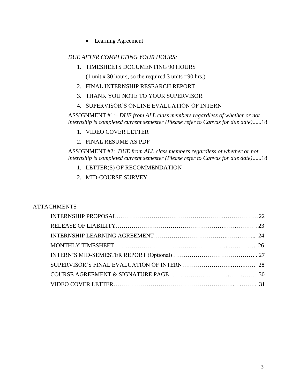• Learning Agreement

#### *DUE AFTER COMPLETING YOUR HOURS:*

1. TIMESHEETS DOCUMENTING 90 HOURS

(1 unit x 30 hours, so the required 3 units =90 hrs.)

- 2. FINAL INTERNSHIP RESEARCH REPORT
- 3. THANK YOU NOTE TO YOUR SUPERVISOR
- 4. SUPERVISOR'S ONLINE EVALUATION OF INTERN

ASSIGNMENT #1:*– DUE from ALL class members regardless of whether or not internship is completed current semester (Please refer to Canvas for due date)*......18

- 1. VIDEO COVER LETTER
- 2. FINAL RESUME AS PDF

ASSIGNMENT #2: *DUE from ALL class members regardless of whether or not internship is completed current semester (Please refer to Canvas for due date)*......18

- 1. LETTER(S) OF RECOMMENDATION
- 2. MID-COURSE SURVEY

#### **ATTACHMENTS**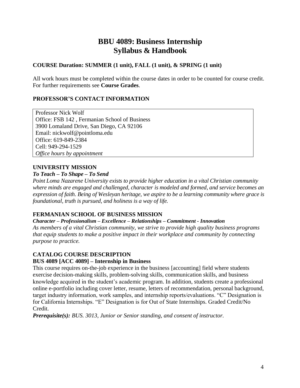# **BBU 4089: Business Internship Syllabus & Handbook**

#### **COURSE Duration: SUMMER (1 unit), FALL (1 unit), & SPRING (1 unit)**

All work hours must be completed within the course dates in order to be counted for course credit. For further requirements see **Course Grades**.

#### **PROFESSOR'S CONTACT INFORMATION**

Professor Nick Wolf Office: FSB 142 , Fermanian School of Business 3900 Lomaland Drive, San Diego, CA 92106 Email: nickwolf@pointloma.edu Office: 619-849-2384 Cell: 949-294-1529 *Office hours by appointment*

#### **UNIVERSITY MISSION**

#### *To Teach – To Shape – To Send*

*Point Loma Nazarene University exists to provide higher education in a vital Christian community where minds are engaged and challenged, character is modeled and formed, and service becomes an expression of faith. Being of Wesleyan heritage, we aspire to be a learning community where grace is foundational, truth is pursued, and holiness is a way of life.*

#### **FERMANIAN SCHOOL OF BUSINESS MISSION**

*Character – Professionalism – Excellence – Relationships – Commitment - Innovation*

*As members of a vital Christian community, we strive to provide high quality business programs that equip students to make a positive impact in their workplace and community by connecting purpose to practice.* 

#### **CATALOG COURSE DESCRIPTION**

#### **BUS 4089 [ACC 4089] – Internship in Business**

This course requires on-the-job experience in the business [accounting] field where students exercise decision-making skills, problem-solving skills, communication skills, and business knowledge acquired in the student's academic program. In addition, students create a professional online e-portfolio including cover letter, resume, letters of recommendation, personal background, target industry information, work samples, and internship reports/evaluations. "C" Designation is for California Internships. "E" Designation is for Out of State Internships. Graded Credit/No Credit.

*Prerequisite(s): BUS. 3013, Junior or Senior standing, and consent of instructor.*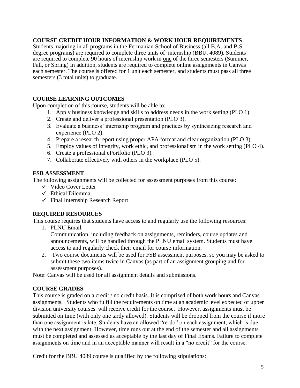#### **COURSE CREDIT HOUR INFORMATION & WORK HOUR REQUIREMENTS**

Students majoring in all programs in the Fermanian School of Business (all B.A. and B.S. degree programs) are required to complete three units of internship (BBU. 4089). Students are required to complete 90 hours of internship work in one of the three semesters (Summer, Fall, or Spring) In addition, students are required to complete online assignments in Canvas each semester. The course is offered for 1 unit each semester, and students must pass all three semesters (3 total units) to graduate.

#### **COURSE LEARNING OUTCOMES**

Upon completion of this course, students will be able to:

- 1. Apply business knowledge and skills to address needs in the work setting (PLO 1).
- 2. Create and deliver a professional presentation (PLO 3).
- 3. Evaluate a business' internship program and practices by synthesizing research and experience (PLO 2).
- 4. Prepare a research report using proper APA format and clear organization (PLO 3).
- 5. Employ values of integrity, work ethic, and professionalism in the work setting (PLO 4).
- 6. Create a professional ePortfolio (PLO 3).
- 7. Collaborate effectively with others in the workplace (PLO 5).

#### **FSB ASSESSMENT**

The following assignments will be collected for assessment purposes from this course:

- $\checkmark$  Video Cover Letter
- $\checkmark$  Ethical Dilemma
- $\checkmark$  Final Internship Research Report

#### **REQUIRED RESOURCES**

This course requires that students have access to and regularly use the following resources:

1. PLNU Email.

Communication, including feedback on assignments, reminders, course updates and announcements, will be handled through the PLNU email system. Students must have access to and regularly check their email for course information.

2. Two course documents will be used for FSB assessment purposes, so you may be asked to submit these two items twice in Canvas (as part of an assignment grouping and for assessment purposes).

Note: Canvas will be used for all assignment details and submissions.

#### **COURSE GRADES**

This course is graded on a credit / no credit basis. It is comprised of both work hours and Canvas assignments. Students who fulfill the requirements on time at an academic level expected of upper division university courses will receive credit for the course. However, assignments must be submitted on time (with only one tardy allowed). Students will be dropped from the course if more than one assignment is late. Students have an allowed "re-do" on each assignment, which is due with the next assignment. However, time runs out at the end of the semester and all assignments must be completed and assessed as acceptable by the last day of Final Exams. Failure to complete assignments on time and in an acceptable manner will result in a "no credit" for the course.

Credit for the BBU 4089 course is qualified by the following stipulations: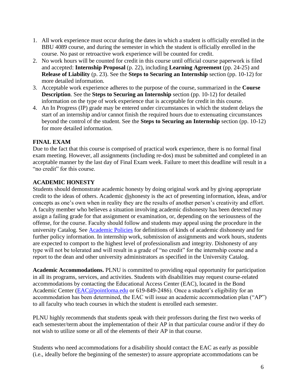- 1. All work experience must occur during the dates in which a student is officially enrolled in the BBU 4089 course, and during the semester in which the student is officially enrolled in the course. No past or retroactive work experience will be counted for credit.
- 2. No work hours will be counted for credit in this course until official course paperwork is filed and accepted: **Internship Proposal** (p. 22), including **Learning Agreement** (pp. 24-25) and **Release of Liability** (p. 23). See the **Steps to Securing an Internship** section (pp. 10-12) for more detailed information.
- 3. Acceptable work experience adheres to the purpose of the course, summarized in the **Course Description**. See the **Steps to Securing an Internship** section (pp. 10-12) for detailed information on the type of work experience that is acceptable for credit in this course.
- 4. An In Progress (IP) grade may be entered under circumstances in which the student delays the start of an internship and/or cannot finish the required hours due to extenuating circumstances beyond the control of the student. See the **Steps to Securing an Internship** section (pp. 10-12) for more detailed information.

#### **FINAL EXAM**

Due to the fact that this course is comprised of practical work experience, there is no formal final exam meeting. However, all assignments (including re-dos) must be submitted and completed in an acceptable manner by the last day of Final Exam week. Failure to meet this deadline will result in a "no credit" for this course.

#### **ACADEMIC HONESTY**

Students should demonstrate academic honesty by doing original work and by giving appropriate credit to the ideas of others. Academic dishonesty is the act of presenting information, ideas, and/or concepts as one's own when in reality they are the results of another person's creativity and effort. A faculty member who believes a situation involving academic dishonesty has been detected may assign a failing grade for that assignment or examination, or, depending on the seriousness of the offense, for the course. Faculty should follow and students may appeal using the procedure in the university Catalog. See [Academic Policies](http://catalog.pointloma.edu/content.php?catoid=18&navoid=1278) for definitions of kinds of academic dishonesty and for further policy information. In internship work, submission of assignments and work hours, students are expected to comport to the highest level of professionalism and integrity. Dishonesty of any type will not be tolerated and will result in a grade of "no credit" for the internship course and a report to the dean and other university administrators as specified in the University Catalog.

**Academic Accommodations.** PLNU is committed to providing equal opportunity for participation in all its programs, services, and activities. Students with disabilities may request course-related accommodations by contacting the Educational Access Center (EAC), located in the Bond Academic Center [\(EAC@pointloma.edu](mailto:EAC@pointloma.edu) or 619-849-2486). Once a student's eligibility for an accommodation has been determined, the EAC will issue an academic accommodation plan ("AP") to all faculty who teach courses in which the student is enrolled each semester.

PLNU highly recommends that students speak with their professors during the first two weeks of each semester/term about the implementation of their AP in that particular course and/or if they do not wish to utilize some or all of the elements of their AP in that course.

Students who need accommodations for a disability should contact the EAC as early as possible (i.e., ideally before the beginning of the semester) to assure appropriate accommodations can be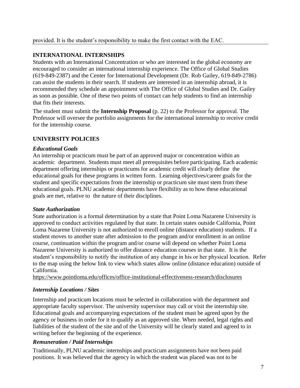#### **INTERNATIONAL INTERNSHIPS**

Students with an International Concentration or who are interested in the global economy are encouraged to consider an international internship experience. The Office of Global Studies (619-849-2387) and the Center for International Development (Dr. Rob Gailey, 619-849-2786) can assist the students in their search. If students are interested in an internship abroad, it is recommended they schedule an appointment with The Office of Global Studies and Dr. Gailey as soon as possible. One of these two points of contact can help students to find an internship that fits their interests.

The student must submit the **Internship Proposal** (p. 22) to the Professor for approval. The Professor will oversee the portfolio assignments for the international internship to receive credit for the internship course.

#### **UNIVERSITY POLICIES**

#### *Educational Goals*

An internship or practicum must be part of an approved major or concentration within an academic department. Students must meet all prerequisites before participating. Each academic department offering internships or practicums for academic credit will clearly define the educational goals for these programs in written form. Learning objectives/career goals for the student and specific expectations from the internship or practicum site must stem from these educational goals. PLNU academic departments have flexibility as to how these educational goals are met, relative to the nature of their disciplines.

#### *State Authorization*

State authorization is a formal determination by a state that Point Loma Nazarene University is approved to conduct activities regulated by that state. In certain states outside California, Point Loma Nazarene University is not authorized to enroll online (distance education) students. If a student moves to another state after admission to the program and/or enrollment in an online course, continuation within the program and/or course will depend on whether Point Loma Nazarene University is authorized to offer distance education courses in that state. It is the student's responsibility to notify the institution of any change in his or her physical location. Refer to the map using the below link to view which states allow online (distance education) outside of California.

<https://www.pointloma.edu/offices/office-institutional-effectiveness-research/disclosures>

#### *Internship Locations / Sites*

Internship and practicum locations must be selected in collaboration with the department and appropriate faculty supervisor. The university supervisor may call or visit the internship site. Educational goals and accompanying expectations of the student must be agreed upon by the agency or business in order for it to qualify as an approved site. When needed, legal rights and liabilities of the student of the site and of the University will be clearly stated and agreed to in writing before the beginning of the experience.

#### *Remuneration / Paid Internships*

Traditionally, PLNU academic internships and practicum assignments have not been paid positions. It was believed that the agency in which the student was placed was not to be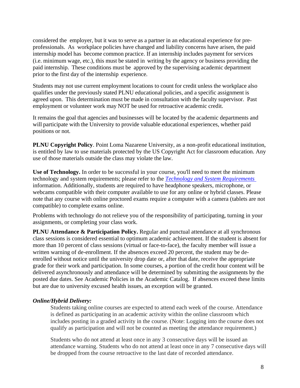considered the employer, but it was to serve as a partner in an educational experience for preprofessionals. As workplace policies have changed and liability concerns have arisen, the paid internship model has become common practice. If an internship includes payment for services (i.e. minimum wage, etc.), this must be stated in writing by the agency or business providing the paid internship. These conditions must be approved by the supervising academic department prior to the first day of the internship experience.

Students may not use current employment locations to count for credit unless the workplace also qualifies under the previously stated PLNU educational policies, and a specific assignment is agreed upon. This determination must be made in consultation with the faculty supervisor. Past employment or volunteer work may NOT be used for retroactive academic credit.

It remains the goal that agencies and businesses will be located by the academic departments and will participate with the University to provide valuable educational experiences, whether paid positions or not.

**PLNU Copyright Policy**. Point Loma Nazarene University, as a non-profit educational institution, is entitled by law to use materials protected by the US Copyright Act for classroom education. Any use of those materials outside the class may violate the law.

**Use of Technology.** In order to be successful in your course, you'll need to meet the minimum technology and system requirements; please refer to the *[Technology and System Requirements](https://help.pointloma.edu/TDClient/1808/Portal/KB/ArticleDet?ID=108349)*  information. Additionally, students are required to have headphone speakers, microphone, or webcams compatible with their computer available to use for any online or hybrid classes. Please note that any course with online proctored exams require a computer with a camera (tablets are not compatible) to complete exams online.

Problems with technology do not relieve you of the responsibility of participating, turning in your assignments, or completing your class work.

**PLNU Attendance & Participation Policy.** Regular and punctual attendance at all synchronous class sessions is considered essential to optimum academic achievement. If the student is absent for more than 10 percent of class sessions (virtual or face-to-face), the faculty member will issue a written warning of de-enrollment. If the absences exceed 20 percent, the student may be deenrolled without notice until the university drop date or, after that date, receive the appropriate grade for their work and participation. In some courses, a portion of the credit hour content will be delivered asynchronously and attendance will be determined by submitting the assignments by the posted due dates. See Academic Policies in the Academic Catalog. If absences exceed these limits but are due to university excused health issues, an exception will be granted.

#### *Online/Hybrid Delivery:*

Students taking online courses are expected to attend each week of the course. Attendance is defined as participating in an academic activity within the online classroom which includes posting in a graded activity in the course. (Note: Logging into the course does not qualify as participation and will not be counted as meeting the attendance requirement.)

Students who do not attend at least once in any 3 consecutive days will be issued an attendance warning. Students who do not attend at least once in any 7 consecutive days will be dropped from the course retroactive to the last date of recorded attendance.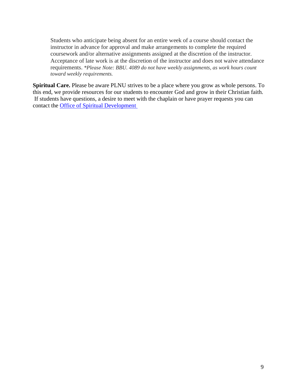Students who anticipate being absent for an entire week of a course should contact the instructor in advance for approval and make arrangements to complete the required coursework and/or alternative assignments assigned at the discretion of the instructor. Acceptance of late work is at the discretion of the instructor and does not waive attendance requirements. *\*Please Note: BBU. 4089 do not have weekly assignments, as work hours count toward weekly requirements.*

**Spiritual Care.** Please be aware PLNU strives to be a place where you grow as whole persons. To this end, we provide resources for our students to encounter God and grow in their Christian faith. If students have questions, a desire to meet with the chaplain or have prayer requests you can contact the [Office of Spiritual Development](https://www.pointloma.edu/offices/spiritual-development)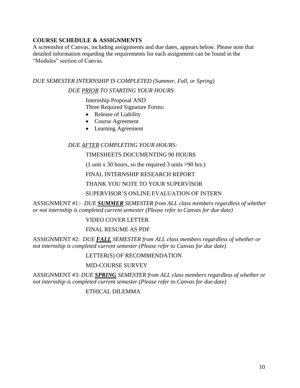#### **COURSE SCHEDULE & ASSIGNMENTS**

A screenshot of Canvas, including assignments and due dates, appears below. Please note that detailed information reqarding the requirements for each assignment can be found in the "Modules" section of Canvas.

## *DUE SEMESTER INTERNSHIP IS COMPLETED (Summer, Fall, or Spring) DUE PRIOR TO STARTING YOUR HOURS:*

Internship Proposal AND Three Required Signature Forms:

- Release of Liability
- Course Agreement
- Learning Agreement

#### *DUE AFTER COMPLETING YOUR HOURS:*

#### TIMESHEETS DOCUMENTING 90 HOURS

(1 unit x 30 hours, so the required 3 units =90 hrs.)

FINAL INTERNSHIP RESEARCH REPORT

#### THANK YOU NOTE TO YOUR SUPERVISOR

#### SUPERVISOR'S ONLINE EVALUATION OF INTERN

ASSIGNMENT #1:*– DUE SUMMER SEMESTER from ALL class members regardless of whether or not internship is completed current semester (Please refer to Canvas for due date)*

#### VIDEO COVER LETTER

#### FINAL RESUME AS PDF

ASSIGNMENT #2: *DUE FALL SEMESTER from ALL class members regardless of whether or not internship is completed current semester (Please refer to Canvas for due date)*

#### LETTER(S) OF RECOMMENDATION

#### MID-COURSE SURVEY

ASSIGNMENT #3: *DUE SPRING SEMESTER from ALL class members regardless of whether or not internship is completed current semester (Please refer to Canvas for due date)*

#### ETHICAL DILEMMA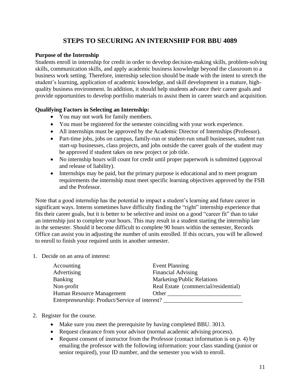# **STEPS TO SECURING AN INTERNSHIP FOR BBU 4089**

#### **Purpose of the Internship**

Students enroll in internship for credit in order to develop decision-making skills, problem-solving skills, communication skills, and apply academic business knowledge beyond the classroom to a business work setting. Therefore, internship selection should be made with the intent to stretch the student's learning, application of academic knowledge, and skill development in a mature, highquality business environment. In addition, it should help students advance their career goals and provide opportunities to develop portfolio materials to assist them in career search and acquisition.

#### **Qualifying Factors in Selecting an Internship:**

- You may not work for family members.
- You must be registered for the semester coinciding with your work experience.
- All internships must be approved by the Academic Director of Internships (Professor).
- Part-time jobs, jobs on campus, family-run or student-run small businesses, student run start-up businesses, class projects, and jobs outside the career goals of the student may be approved if student takes on new project or job title.
- No internship hours will count for credit until proper paperwork is submitted (approval and release of liability).
- Internships may be paid, but the primary purpose is educational and to meet program requirements the internship must meet specific learning objectives approved by the FSB and the Professor.

Note that a good internship has the potential to impact a student's learning and future career in significant ways. Interns sometimes have difficulty finding the "right" internship experience that fits their career goals, but it is better to be selective and insist on a good "career fit" than to take an internship just to complete your hours. This may result in a student starting the internship late in the semester. Should it become difficult to complete 90 hours within the semester, Records Office can assist you in adjusting the number of units enrolled. If this occurs, you will be allowed to enroll to finish your required units in another semester.

1. Decide on an area of interest:

| Accounting                                     | <b>Event Planning</b>                |  |  |
|------------------------------------------------|--------------------------------------|--|--|
| Advertising                                    | <b>Financial Advising</b>            |  |  |
| <b>Banking</b>                                 | Marketing/Public Relations           |  |  |
| Non-profit                                     | Real Estate (commercial/residential) |  |  |
| Human Resource Management                      | Other                                |  |  |
| Entrepreneurship: Product/Service of interest? |                                      |  |  |

- 2. Register for the course.
	- Make sure you meet the prerequisite by having completed BBU. 3013.
	- Request clearance from your advisor (normal academic advising process).
	- Request consent of instructor from the Professor (contact information is on p. 4) by emailing the professor with the following information: your class standing (junior or senior required), your ID number, and the semester you wish to enroll.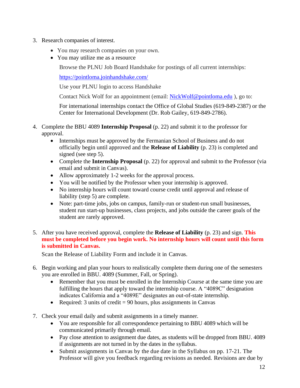- 3. Research companies of interest.
	- You may research companies on your own.
	- You may utilize me as a resource

Browse the PLNU Job Board Handshake for postings of all current internships:

<https://pointloma.joinhandshake.com/>

Use your PLNU login to access Handshake

Contact Nick Wolf for an appointment (email: [NickWolf@pointloma.edu](mailto:NickWolf@pointloma.edu)), go to:

For international internships contact the Office of Global Studies (619-849-2387) or the Center for International Development (Dr. Rob Gailey, 619-849-2786).

- 4. Complete the BBU 4089 **Internship Proposal** (p. 22) and submit it to the professor for approval.
	- Internships must be approved by the Fermanian School of Business and do not officially begin until approved and the **Release of Liability** (p. 23) is completed and signed (see step 5).
	- Complete the **Internship Proposal** (p. 22) for approval and submit to the Professor (via email and submit in Canvas).
	- Allow approximately 1-2 weeks for the approval process.
	- You will be notified by the Professor when your internship is approved.
	- No internship hours will count toward course credit until approval and release of liability (step 5) are complete.
	- Note: part-time jobs, jobs on campus, family-run or student-run small businesses, student run start-up businesses, class projects, and jobs outside the career goals of the student are rarely approved.
- 5. After you have received approval, complete the **Release of Liability** (p. 23) and sign. **This must be completed before you begin work. No internship hours will count until this form is submitted in Canvas.**

Scan the Release of Liability Form and include it in Canvas.

- 6. Begin working and plan your hours to realistically complete them during one of the semesters you are enrolled in BBU. 4089 (Summer, Fall, or Spring).
	- Remember that you must be enrolled in the Internship Course at the same time you are fulfilling the hours that apply toward the internship course. A "4089C" designation indicates California and a "4089E" designates an out-of-state internship.
	- Required: 3 units of credit  $= 90$  hours, plus assignments in Canvas
- 7. Check your email daily and submit assignments in a timely manner.
	- You are responsible for all correspondence pertaining to BBU 4089 which will be communicated primarily through email.
	- Pay close attention to assignment due dates, as students will be dropped from BBU. 4089 if assignments are not turned in by the dates in the syllabus.
	- Submit assignments in Canvas by the due date in the Syllabus on pp. 17-21. The Professor will give you feedback regarding revisions as needed. Revisions are due by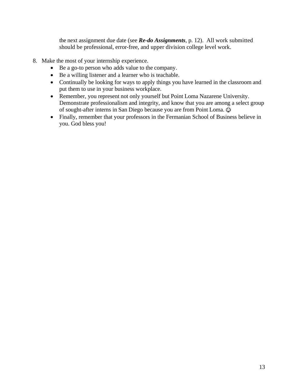the next assignment due date (see *Re-do Assignments*, p. 12). All work submitted should be professional, error-free, and upper division college level work.

- 8. Make the most of your internship experience.
	- Be a go-to person who adds value to the company.
	- Be a willing listener and a learner who is teachable.
	- Continually be looking for ways to apply things you have learned in the classroom and put them to use in your business workplace.
	- Remember, you represent not only yourself but Point Loma Nazarene University. Demonstrate professionalism and integrity, and know that you are among a select group of sought-after interns in San Diego because you are from Point Loma.
	- Finally, remember that your professors in the Fermanian School of Business believe in you. God bless you!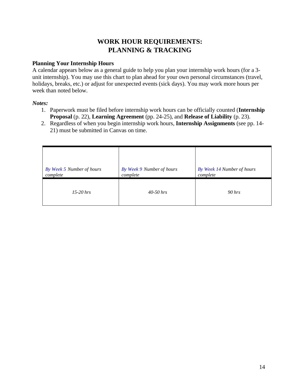# **WORK HOUR REQUIREMENTS: PLANNING & TRACKING**

#### **Planning Your Internship Hours**

A calendar appears below as a general guide to help you plan your internship work hours (for a 3 unit internship). You may use this chart to plan ahead for your own personal circumstances (travel, holidays, breaks, etc.) or adjust for unexpected events (sick days). You may work more hours per week than noted below.

*Notes:*

- 1. Paperwork must be filed before internship work hours can be officially counted (**Internship Proposal** (p. 22), **Learning Agreement** (pp. 24-25), and **Release of Liability** (p. 23).
- 2. Regardless of when you begin internship work hours, **Internship Assignments** (see pp. 14- 21) must be submitted in Canvas on time.

| By Week 5 Number of hours | By Week 9 Number of hours | By Week 14 Number of hours |
|---------------------------|---------------------------|----------------------------|
| complete                  | complete                  | complete                   |
| $15-20$ hrs               | $40 - 50$ hrs             | $90$ hrs                   |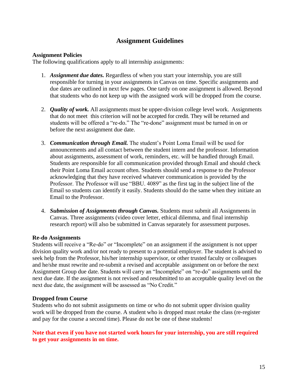## **Assignment Guidelines**

#### **Assignment Policies**

The following qualifications apply to all internship assignments:

- 1. *Assignment due dates.* Regardless of when you start your internship, you are still responsible for turning in your assignments in Canvas on time. Specific assignments and due dates are outlined in next few pages. One tardy on one assignment is allowed. Beyond that students who do not keep up with the assigned work will be dropped from the course.
- 2. *Quality of work.* All assignments must be upper-division college level work. Assignments that do not meet this criterion will not be accepted for credit. They will be returned and students will be offered a "re-do." The "re-done" assignment must be turned in on or before the next assignment due date.
- 3. *Communication through Email.* The student's Point Loma Email will be used for announcements and all contact between the student intern and the professor. Information about assignments, assessment of work, reminders, etc. will be handled through Email. Students are responsible for all communication provided through Email and should check their Point Loma Email account often. Students should send a response to the Professor acknowledging that they have received whatever communication is provided by the Professor. The Professor will use "BBU. 4089" as the first tag in the subject line of the Email so students can identify it easily. Students should do the same when they initiate an Email to the Professor.
- 4. *Submission of Assignments through Canvas.* Students must submit all Assignments in Canvas. Three assignments (video cover letter, ethical dilemma, and final internship research report) will also be submitted in Canvas separately for assessment purposes.

#### **Re-do Assignments**

Students will receive a "Re-do" or "Incomplete" on an assignment if the assignment is not upper division quality work and/or not ready to present to a potential employer. The student is advised to seek help from the Professor, his/her internship supervisor, or other trusted faculty or colleagues and he/she must rewrite and re-submit a revised and acceptable assignment on or before the next Assignment Group due date. Students will carry an "Incomplete" on "re-do" assignments until the next due date. If the assignment is not revised and resubmitted to an acceptable quality level on the next due date, the assignment will be assessed as "No Credit."

#### **Dropped from Course**

Students who do not submit assignments on time or who do not submit upper division quality work will be dropped from the course. A student who is dropped must retake the class (re-register and pay for the course a second time). Please do not be one of these students!

#### **Note that even if you have not started work hours for your internship, you are still required to get your assignments in on time.**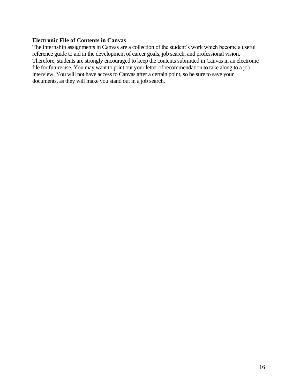#### **Electronic File of Contents in Canvas**

The internship assignments in Canvas are a collection of the student's work which become a useful reference guide to aid in the development of career goals, job search, and professional vision. Therefore, students are strongly encouraged to keep the contents submitted in Canvas in an electronic file for future use. You may want to print out your letter of recommendation to take along to a job interview. You will not have access to Canvas after a certain point, so be sure to save your documents, as they will make you stand out in a job search.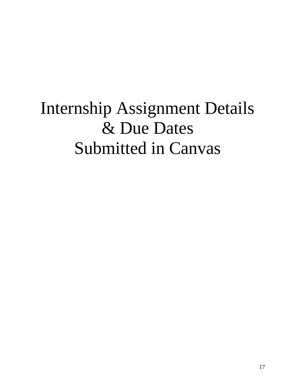# Internship Assignment Details & Due Dates Submitted in Canvas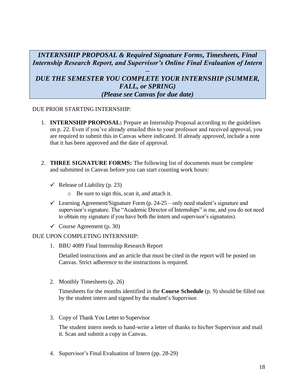*INTERNSHIP PROPOSAL & Required Signature Forms, Timesheets, Final Internship Research Report, and Supervisor's Online Final Evaluation of Intern*

## *– DUE THE SEMESTER YOU COMPLETE YOUR INTERNSHIP (SUMMER, FALL, or SPRING) (Please see Canvas for due date)*

#### DUE PRIOR STARTING INTERNSHIP:

- 1. **INTERNSHIP PROPOSAL:** Prepare an Internship Proposal according to the guidelines on p. 22. Even if you've already emailed this to your professor and received approval, you are required to submit this in Canvas where indicated. If already approved, include a note that it has been approved and the date of approval.
- 2. **THREE SIGNATURE FORMS:** The following list of documents must be complete and submitted in Canvas before you can start counting work hours:
	- $\checkmark$  Release of Liability (p. 23)
		- o Be sure to sign this, scan it, and attach it.
	- $\checkmark$  Learning Agreement/Signature Form (p. 24-25 only need student's signature and supervisor's signature. The "Academic Director of Internships" is me, and you do not need to obtain my signature if you have both the intern and supervisor's signatures).
	- $\checkmark$  Course Agreement (p. 30)

#### DUE UPON COMPLETING INTERNSHIP:

1. BBU 4089 Final Internship Research Report

Detailed instructions and an article that must be cited in the report will be posted on Canvas. Strict adherence to the instructions is required.

2. Monthly Timesheets (p. 26)

Timesheets for the months identified in the **Course Schedule** (p. 9) should be filled out by the student intern and signed by the student's Supervisor.

3. Copy of Thank You Letter to Supervisor

The student intern needs to hand-write a letter of thanks to his/her Supervisor and mail it. Scan and submit a copy in Canvas.

4. Supervisor's Final Evaluation of Intern (pp. 28-29)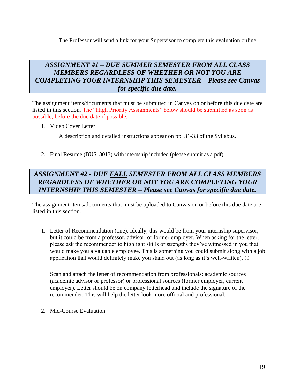The Professor will send a link for your Supervisor to complete this evaluation online.

## *ASSIGNMENT #1 – DUE SUMMER SEMESTER FROM ALL CLASS MEMBERS REGARDLESS OF WHETHER OR NOT YOU ARE COMPLETING YOUR INTERNSHIP THIS SEMESTER – Please see Canvas for specific due date.*

The assignment items/documents that must be submitted in Canvas on or before this due date are listed in this section. The "High Priority Assignments" below should be submitted as soon as possible, before the due date if possible.

1. Video Cover Letter

A description and detailed instructions appear on pp. 31-33 of the Syllabus.

2. Final Resume (BUS. 3013) with internship included (please submit as a pdf).

# *ASSIGNMENT #2 - DUE FALL SEMESTER FROM ALL CLASS MEMBERS REGARDLESS OF WHETHER OR NOT YOU ARE COMPLETING YOUR INTERNSHIP THIS SEMESTER – Please see Canvas for specific due date.*

The assignment items/documents that must be uploaded to Canvas on or before this due date are listed in this section.

1. Letter of Recommendation (one). Ideally, this would be from your internship supervisor, but it could be from a professor, advisor, or former employer. When asking for the letter, please ask the recommender to highlight skills or strengths they've witnessed in you that would make you a valuable employee. This is something you could submit along with a job application that would definitely make you stand out (as long as it's well-written).  $\odot$ 

Scan and attach the letter of recommendation from professionals: academic sources (academic advisor or professor) or professional sources (former employer, current employer). Letter should be on company letterhead and include the signature of the recommender. This will help the letter look more official and professional.

2. Mid-Course Evaluation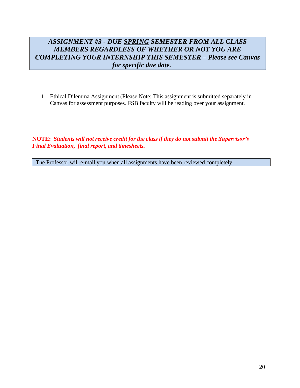# *ASSIGNMENT #3 - DUE SPRING SEMESTER FROM ALL CLASS MEMBERS REGARDLESS OF WHETHER OR NOT YOU ARE COMPLETING YOUR INTERNSHIP THIS SEMESTER – Please see Canvas for specific due date.*

1. Ethical Dilemma Assignment (Please Note: This assignment is submitted separately in Canvas for assessment purposes. FSB faculty will be reading over your assignment.

**NOTE:** *Students will not receive credit for the class if they do not submit the Supervisor's Final Evaluation, final report, and timesheets.*

The Professor will e-mail you when all assignments have been reviewed completely.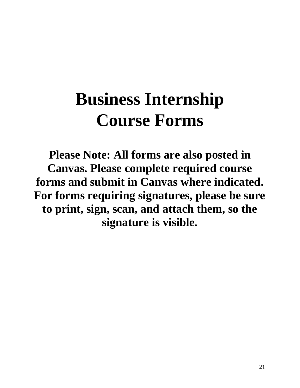# **Business Internship Course Forms**

**Please Note: All forms are also posted in Canvas. Please complete required course forms and submit in Canvas where indicated. For forms requiring signatures, please be sure to print, sign, scan, and attach them, so the signature is visible.**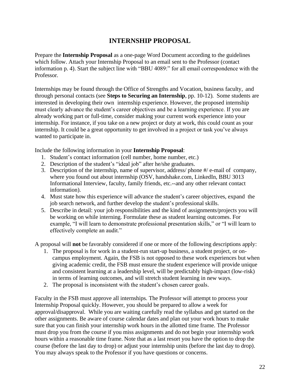# **INTERNSHIP PROPOSAL**

Prepare the **Internship Proposal** as a one-page Word Document according to the guidelines which follow. Attach your Internship Proposal to an email sent to the Professor (contact information p. 4). Start the subject line with "BBU 4089:" for all email correspondence with the Professor.

Internships may be found through the Office of Strengths and Vocation, business faculty, and through personal contacts (see **Steps to Securing an Internship**, pp. 10-12). Some students are interested in developing their own internship experience. However, the proposed internship must clearly advance the student's career objectives and be a learning experience. If you are already working part or full-time, consider making your current work experience into your internship. For instance, if you take on a new project or duty at work, this could count as your internship. It could be a great opportunity to get involved in a project or task you've always wanted to participate in.

Include the following information in your **Internship Proposal**:

- 1. Student's contact information (cell number, home number, etc.)
- 2. Description of the student's "ideal job" after he/she graduates.
- 3. Description of the internship, name of supervisor, address/ phone #/ e-mail of company, where you found out about internship (OSV, handshake.com, LinkedIn, BBU 3013 Informational Interview, faculty, family friends, etc.--and any other relevant contact information).
- 4. Must state how this experience will advance the student's career objectives, expand the job search network, and further develop the student's professional skills.
- 5. Describe in detail: your job responsibilities and the kind of assignments/projects you will be working on while interning. Formulate these as student learning outcomes. For example, "I will learn to demonstrate professional presentation skills," or "I will learn to effectively complete an audit."

A proposal will **not** be favorably considered if one or more of the following descriptions apply:

- 1. The proposal is for work in a student-run start-up business, a student project, or oncampus employment. Again, the FSB is not opposed to these work experiences but when giving academic credit, the FSB must ensure the student experience will provide unique and consistent learning at a leadership level, will be predictably high-impact (low-risk) in terms of learning outcomes, and will stretch student learning in new ways.
- 2. The proposal is inconsistent with the student's chosen career goals.

Faculty in the FSB must approve all internships. The Professor will attempt to process your Internship Proposal quickly. However, you should be prepared to allow a week for approval/disapproval. While you are waiting carefully read the syllabus and get started on the other assignments. Be aware of course calendar dates and plan out your work hours to make sure that you can finish your internship work hours in the allotted time frame. The Professor must drop you from the course if you miss assignments and do not begin your internship work hours within a reasonable time frame. Note that as a last resort you have the option to drop the course (before the last day to drop) or adjust your internship units (before the last day to drop). You may always speak to the Professor if you have questions or concerns.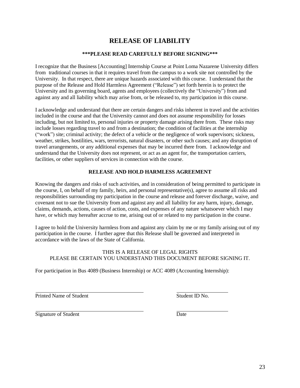# **RELEASE OF LIABILITY**

#### **\*\*\*PLEASE READ CAREFULLY BEFORE SIGNING\*\*\***

I recognize that the Business [Accounting] Internship Course at Point Loma Nazarene University differs from traditional courses in that it requires travel from the campus to a work site not controlled by the University. In that respect, there are unique hazards associated with this course. I understand that the purpose of the Release and Hold Harmless Agreement ("Release") set forth herein is to protect the University and its governing board, agents and employees (collectively the "University") from and against any and all liability which may arise from, or be released to, my participation in this course.

I acknowledge and understand that there are certain dangers and risks inherent in travel and the activities included in the course and that the University cannot and does not assume responsibility for losses including, but not limited to, personal injuries or property damage arising there from. These risks may include losses regarding travel to and from a destination; the condition of facilities at the internship ("work") site; criminal activity; the defect of a vehicle or the negligence of work supervisors; sickness, weather, strikes, hostilities, wars, terrorists, natural disasters, or other such causes; and any disruption of travel arrangements, or any additional expenses that may be incurred there from. I acknowledge and understand that the University does not represent, or act as an agent for, the transportation carriers, facilities, or other suppliers of services in connection with the course.

#### **RELEASE AND HOLD HARMLESS AGREEMENT**

Knowing the dangers and risks of such activities, and in consideration of being permitted to participate in the course, I, on behalf of my family, heirs, and personal representative(s), agree to assume all risks and responsibilities surrounding my participation in the course and release and forever discharge, waive, and covenant not to sue the University from and against any and all liability for any harm, injury, damage, claims, demands, actions, causes of action, costs, and expenses of any nature whatsoever which I may have, or which may hereafter accrue to me, arising out of or related to my participation in the course.

I agree to hold the University harmless from and against any claim by me or my family arising out of my participation in the course. I further agree that this Release shall be governed and interpreted in accordance with the laws of the State of California.

#### THIS IS A RELEASE OF LEGAL RIGHTS PLEASE BE CERTAIN YOU UNDERSTAND THIS DOCUMENT BEFORE SIGNING IT.

For participation in Bus 4089 (Business Internship) or ACC 4089 (Accounting Internship):

Printed Name of Student Student Student Student ID No.

Signature of Student Date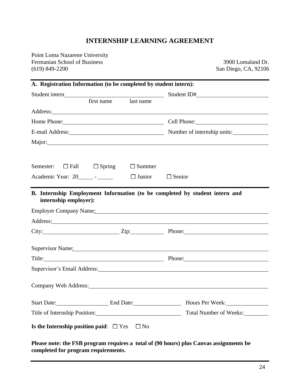## **INTERNSHIP LEARNING AGREEMENT**

Point Loma Nazarene University Fermanian School of Business 3900 Lomaland Dr.<br>
(619) 849-2200 San Diego, CA, 92106

San Diego, CA, 92106

| A. Registration Information (to be completed by student intern):                                                                                                                                                                     |                           |               |                                                                                                                                                                                                                                |
|--------------------------------------------------------------------------------------------------------------------------------------------------------------------------------------------------------------------------------------|---------------------------|---------------|--------------------------------------------------------------------------------------------------------------------------------------------------------------------------------------------------------------------------------|
|                                                                                                                                                                                                                                      |                           |               | Student ID#                                                                                                                                                                                                                    |
|                                                                                                                                                                                                                                      | first name                | last name     |                                                                                                                                                                                                                                |
| Address: Note that the contract of the contract of the contract of the contract of the contract of the contract of the contract of the contract of the contract of the contract of the contract of the contract of the contrac       |                           |               |                                                                                                                                                                                                                                |
|                                                                                                                                                                                                                                      |                           |               | Home Phone: Cell Phone: Cell Phone:                                                                                                                                                                                            |
|                                                                                                                                                                                                                                      |                           |               | E-mail Address: Number of internship units:                                                                                                                                                                                    |
|                                                                                                                                                                                                                                      |                           |               | Major: Major:                                                                                                                                                                                                                  |
|                                                                                                                                                                                                                                      |                           |               |                                                                                                                                                                                                                                |
| Semester:                                                                                                                                                                                                                            | $\Box$ Fall $\Box$ Spring | $\Box$ Summer |                                                                                                                                                                                                                                |
| Academic Year: 20 $\qquad$ - $\qquad$ $\Box$ Junior $\Box$ Senior                                                                                                                                                                    |                           |               |                                                                                                                                                                                                                                |
| Address: <u>New York: Address: New York: New York: New York: New York: New York: New York: New York: New York: New York: New York: New York: New York: New York: New York: New York: New York: New York: New York: New York: New</u> |                           |               |                                                                                                                                                                                                                                |
|                                                                                                                                                                                                                                      |                           |               |                                                                                                                                                                                                                                |
| Supervisor Name: Supervisor Name:                                                                                                                                                                                                    |                           |               |                                                                                                                                                                                                                                |
|                                                                                                                                                                                                                                      |                           |               | Title: Phone: Phone: Phone:                                                                                                                                                                                                    |
|                                                                                                                                                                                                                                      |                           |               | Supervisor's Email Address: Manual Address: All Annual Address: All Annual Address: All Annual Address: All Annual Address: All Annual Address: All Annual Address: All Annual Address: All Annual Address: All Annual Address |
|                                                                                                                                                                                                                                      |                           |               |                                                                                                                                                                                                                                |
|                                                                                                                                                                                                                                      |                           |               | Company Web Address: Universe of the Company Web Address:                                                                                                                                                                      |
|                                                                                                                                                                                                                                      |                           |               | Start Date: End Date: End Date: Hours Per Week:                                                                                                                                                                                |
| Title of Internship Position: 2003                                                                                                                                                                                                   |                           |               | Total Number of Weeks:                                                                                                                                                                                                         |
| Is the Internship position paid: $\Box$ Yes $\Box$ No                                                                                                                                                                                |                           |               |                                                                                                                                                                                                                                |

**Please note: the FSB program requires a total of (90 hours) plus Canvas assignments be completed for program requirements.**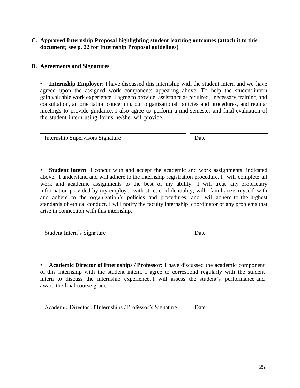#### **C. Approved Internship Proposal highlighting student learning outcomes (attach it to this document; see p. 22 for Internship Proposal guidelines)**

#### **D. Agreements and Signatures**

**Internship Employer:** I have discussed this internship with the student intern and we have agreed upon the assigned work components appearing above. To help the student intern gain valuable work experience, I agree to provide: assistance as required, necessary training and consultation, an orientation concerning our organizational policies and procedures, and regular meetings to provide guidance. I also agree to perform a mid-semester and final evaluation of the student intern using forms he/she will provide.

Internship Supervisors Signature Date

• **Student intern**: I concur with and accept the academic and work assignments indicated above. I understand and will adhere to the internship registration procedure. I will complete all work and academic assignments to the best of my ability. I will treat any proprietary information provided by my employer with strict confidentiality, will familiarize myself with and adhere to the organization's policies and procedures, and will adhere to the highest standards of ethical conduct. I will notify the faculty internship coordinator of any problems that arise in connection with this internship.

Student Intern's Signature Date

• **Academic Director of Internships / Professor**: I have discussed the academic component of this internship with the student intern. I agree to correspond regularly with the student intern to discuss the internship experience. I will assess the student's performance and award the final course grade.

Academic Director of Internships / Professor's Signature Date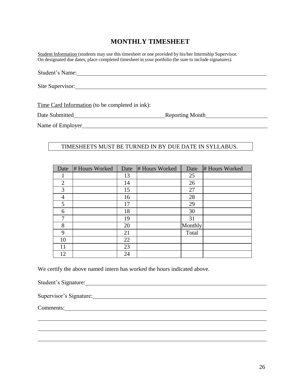# **MONTHLY TIMESHEET**

Student Information (students may use this timesheet or one provided by his/her Internship Supervisor. On designated due dates, place completed timesheet in your portfolio (be sure to include signatures).

Student's Name:

Site Supervisor:

Time Card Information (to be completed in ink):

Date Submitted Reporting Month

Name of Employer

#### TIMESHEETS MUST BE TURNED IN BY DUE DATE IN SYLLABUS.

| Date           | # Hours Worked | Date | # Hours Worked | Date    | # Hours Worked |
|----------------|----------------|------|----------------|---------|----------------|
|                |                | 13   |                | 25      |                |
| $\overline{2}$ |                | 14   |                | 26      |                |
| 3              |                | 15   |                | 27      |                |
| 4              |                | 16   |                | 28      |                |
| 5              |                | 17   |                | 29      |                |
| 6              |                | 18   |                | 30      |                |
| 7              |                | 19   |                | 31      |                |
| 8              |                | 20   |                | Monthly |                |
| 9              |                | 21   |                | Total   |                |
| 10             |                | 22   |                |         |                |
| 11             |                | 23   |                |         |                |
| 12             |                | 24   |                |         |                |

We certify the above named intern has worked the hours indicated above.

Student's Signature: 2008. [2016] [2016] [2016] [2016] [2016] [2016] [2016] [2016] [2016] [2016] [2016] [2016] [2016] [2016] [2016] [2016] [2016] [2016] [2016] [2016] [2016] [2016] [2016] [2016] [2016] [2016] [2016] [2016]

Supervisor's Signature: Supervisor's Signature:

Comments: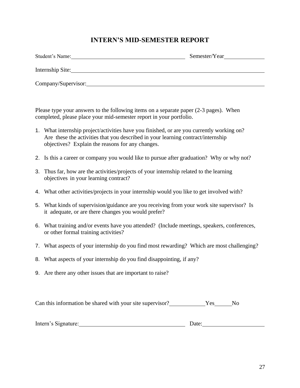# **INTERN'S MID-SEMESTER REPORT**

| Student's Name:     | Semester/Year |
|---------------------|---------------|
| Internship Site:    |               |
| Company/Supervisor: |               |

Please type your answers to the following items on a separate paper (2-3 pages). When completed, please place your mid-semester report in your portfolio.

- 1. What internship project/activities have you finished, or are you currently working on? Are these the activities that you described in your learning contract/internship objectives? Explain the reasons for any changes.
- 2. Is this a career or company you would like to pursue after graduation? Why or why not?
- 3. Thus far, how are the activities/projects of your internship related to the learning objectives in your learning contract?
- 4. What other activities/projects in your internship would you like to get involved with?
- 5. What kinds of supervision/guidance are you receiving from your work site supervisor? Is it adequate, or are there changes you would prefer?
- 6. What training and/or events have you attended? (Include meetings, speakers, conferences, or other formal training activities?
- 7. What aspects of your internship do you find most rewarding? Which are most challenging?
- 8. What aspects of your internship do you find disappointing, if any?
- 9. Are there any other issues that are important to raise?

Can this information be shared with your site supervisor? Yes No

| Intern's Signature: | vale |  |
|---------------------|------|--|
|                     |      |  |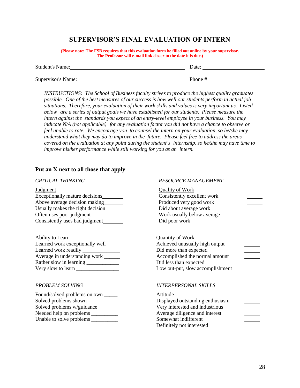#### **SUPERVISOR'S FINAL EVALUATION OF INTERN**

**(Please note: The FSB requires that this evaluation form be filled out online by your supervisor. The Professor will e-mail link closer to the date it is due.)**

| <b>Student's Name:</b> | Date:   |
|------------------------|---------|
|                        |         |
| Supervisor's Name:     | Phone # |

*INSTRUCTIONS: The School of Business faculty strives to produce the highest quality graduates possible. One of the best measures of our success is how well our students perform in actual job situations. Therefore, your evaluation of their work skills and values is very important us. Listed below are a series of output goals we have established for our students. Please measure the intern against the standards you expect of an entry-level employee in your business. You may indicate N/A (not applicable) for any evaluation factor you did not have a chance to observe or feel unable to rate. We encourage you to counsel the intern on your evaluation, so he/she may understand what they may do to improve in the future. Please feel free to address the areas covered on the evaluation at any point during the student's internship, so he/she may have time to improve his/her performance while still working for you as an intern.*

#### **Put an X next to all those that apply**

#### *CRITICAL THINKING*

#### Judgment Exceptionally mature decisions Above average decision making Usually makes the right decision Often uses poor judgment Consistently uses bad judgment Quality of Work Consistently excellent work Produced very good work Did about average work Work usually below average Did poor work

| Ability to Learn                |
|---------------------------------|
| Learned work exceptionally well |
| Learned work readily ____       |
| Average in understanding work _ |
| Rather slow in learning         |
| Very slow to learn              |

#### *PROBLEM SOLVING*

| Found/solved problems on own |
|------------------------------|
| Solved problems shown        |
| Solved problems w/guidance   |
| Needed help on problems      |
| Unable to solve problems     |
|                              |

#### *RESOURCE MANAGEMENT*

| <b>Quality of Work</b>                                                                                                                                                              |  |
|-------------------------------------------------------------------------------------------------------------------------------------------------------------------------------------|--|
| Consistently excellent work                                                                                                                                                         |  |
| Produced very good work                                                                                                                                                             |  |
| Did about average work                                                                                                                                                              |  |
| Work usually below average                                                                                                                                                          |  |
| Did poor work                                                                                                                                                                       |  |
|                                                                                                                                                                                     |  |
| <b>Quantity of Work</b><br>Achieved unusually high output<br>Did more than expected<br>Accomplished the normal amount<br>Did less than expected<br>Low out-put, slow accomplishment |  |
| <i><b>INTERPERSONAL SKILLS</b></i>                                                                                                                                                  |  |
| Attitude                                                                                                                                                                            |  |

| Displayed outstanding enthusiasm |  |
|----------------------------------|--|
| Very interested and industrious  |  |
| Average diligence and interest   |  |
| Somewhat indifferent             |  |
| Definitely not interested        |  |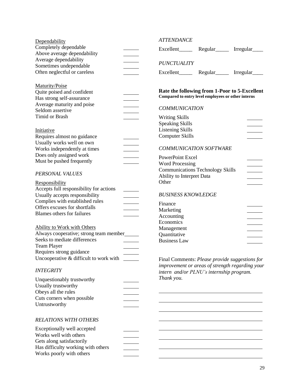| Dependability                                   | <b>ATTENDANCE</b>                                                                           |
|-------------------------------------------------|---------------------------------------------------------------------------------------------|
| Completely dependable                           | Excellent________ Regular________ Irregular_                                                |
| Above average dependability                     |                                                                                             |
| Average dependability<br>Sometimes undependable | <b>PUNCTUALITY</b>                                                                          |
| Often neglectful or careless                    | Regular <sub>______</sub> Irregular_                                                        |
| Maturity/Poise                                  |                                                                                             |
| Quite poised and confident                      | Rate the following from 1-Poor to 5-Excellent                                               |
| Has strong self-assurance                       | Compared to entry level employees or other interns                                          |
| Average maturity and poise                      | <b>COMMUNICATION</b>                                                                        |
| Seldom assertive                                |                                                                                             |
| <b>Timid or Brash</b>                           | <b>Writing Skills</b>                                                                       |
|                                                 | <b>Speaking Skills</b>                                                                      |
| Initiative                                      | <b>Listening Skills</b>                                                                     |
| Requires almost no guidance                     | <b>Computer Skills</b>                                                                      |
| Usually works well on own                       |                                                                                             |
| Works independently at times                    | <b>COMMUNICATION SOFTWARE</b>                                                               |
| Does only assigned work                         | PowerPoint Excel                                                                            |
| Must be pushed frequently                       | <b>Word Processing</b>                                                                      |
|                                                 | <b>Communications Technology Skills</b>                                                     |
| PERSONAL VALUES                                 | Ability to Interpret Data                                                                   |
| <b>Responsibility</b>                           | Other                                                                                       |
| Accepts full responsibility for actions         |                                                                                             |
| Usually accepts responsibility                  | <b>BUSINESS KNOWLEDGE</b>                                                                   |
| Complies with established rules                 | Finance                                                                                     |
| Offers excuses for shortfalls                   | Marketing                                                                                   |
| <b>Blames others for failures</b>               | Accounting                                                                                  |
|                                                 | Economics                                                                                   |
| <b>Ability to Work with Others</b>              | Management                                                                                  |
| Always cooperative; strong team member_         | Quantitative                                                                                |
| Seeks to mediate differences                    | <b>Business Law</b>                                                                         |
| <b>Team Player</b>                              |                                                                                             |
| Requires strong guidance                        |                                                                                             |
| Uncooperative & difficult to work with          | Final Comments: Please provide suggestions for                                              |
| <b>INTEGRITY</b>                                | improvement or areas of strength regarding your<br>intern and/or PLNU's internship program. |
| Unquestionably trustworthy                      | Thank you.                                                                                  |
| Usually trustworthy                             |                                                                                             |
| Obeys all the rules                             |                                                                                             |
| Cuts corners when possible                      |                                                                                             |
| Untrustworthy                                   |                                                                                             |
|                                                 |                                                                                             |
| <b>RELATIONS WITH OTHERS</b>                    |                                                                                             |
| Exceptionally well accepted                     |                                                                                             |
| Works well with others                          |                                                                                             |
| Gets along satisfactorily                       |                                                                                             |
| Has difficulty working with others              |                                                                                             |
| Works poorly with others                        |                                                                                             |
|                                                 |                                                                                             |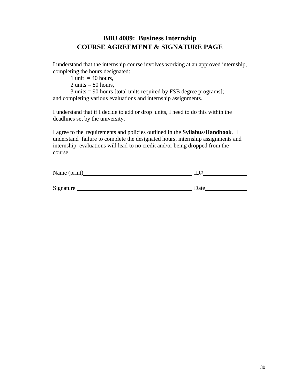# **BBU 4089: Business Internship COURSE AGREEMENT & SIGNATURE PAGE**

I understand that the internship course involves working at an approved internship, completing the hours designated:

1 unit  $=$  40 hours,

 $2 \text{ units} = 80 \text{ hours}$ .

3 units = 90 hours [total units required by FSB degree programs]; and completing various evaluations and internship assignments.

I understand that if I decide to add or drop units, I need to do this within the deadlines set by the university.

I agree to the requirements and policies outlined in the **Syllabus/Handbook**. I understand failure to complete the designated hours, internship assignments and internship evaluations will lead to no credit and/or being dropped from the course.

| Name (print) | ID#  |
|--------------|------|
|              |      |
| Signature    | Date |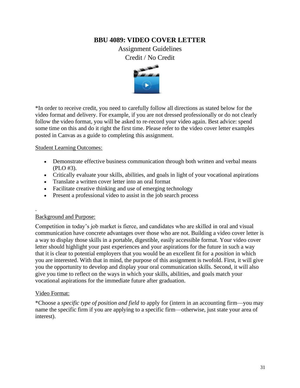#### **BBU 4089: VIDEO COVER LETTER**

Assignment Guidelines Credit / No Credit



\*In order to receive credit, you need to carefully follow all directions as stated below for the video format and delivery. For example, if you are not dressed professionally or do not clearly follow the video format, you will be asked to re-record your video again. Best advice: spend some time on this and do it right the first time. Please refer to the video cover letter examples posted in Canvas as a guide to completing this assignment.

#### Student Learning Outcomes:

- Demonstrate effective business communication through both written and verbal means (PLO #3).
- Critically evaluate your skills, abilities, and goals in light of your vocational aspirations
- Translate a written cover letter into an oral format
- Facilitate creative thinking and use of emerging technology
- Present a professional video to assist in the job search process

#### Background and Purpose:

Competition in today's job market is fierce, and candidates who are skilled in oral and visual communication have concrete advantages over those who are not. Building a video cover letter is a way to display those skills in a portable, digestible, easily accessible format. Your video cover letter should highlight your past experiences and your aspirations for the future in such a way that it is clear to potential employers that you would be an excellent fit for a *position* in which you are interested. With that in mind, the purpose of this assignment is twofold. First, it will give you the opportunity to develop and display your oral communication skills. Second, it will also give you time to reflect on the ways in which your skills, abilities, and goals match your vocational aspirations for the immediate future after graduation.

#### Video Format:

\*Choose a *specific type of position and field* to apply for (intern in an accounting firm—you may name the specific firm if you are applying to a specific firm—otherwise, just state your area of interest).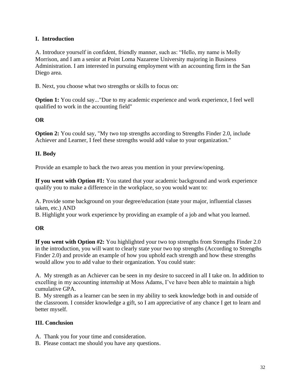#### **I. Introduction**

A. Introduce yourself in confident, friendly manner, such as: "Hello, my name is Molly Morrison, and I am a senior at Point Loma Nazarene University majoring in Business Administration. I am interested in pursuing employment with an accounting firm in the San Diego area.

B. Next, you choose what two strengths or skills to focus on:

**Option 1:** You could say..."Due to my academic experience and work experience, I feel well qualified to work in the accounting field"

#### **OR**

**Option 2:** You could say, "My two top strengths according to Strengths Finder 2.0, include Achiever and Learner, I feel these strengths would add value to your organization."

#### **II. Body**

Provide an example to back the two areas you mention in your preview/opening.

**If you went with Option #1:** You stated that your academic background and work experience qualify you to make a difference in the workplace, so you would want to:

A. Provide some background on your degree/education (state your major, influential classes taken, etc.) AND

B. Highlight your work experience by providing an example of a job and what you learned.

#### **OR**

**If you went with Option #2:** You highlighted your two top strengths from Strengths Finder 2.0 in the introduction, you will want to clearly state your two top strengths (According to Strengths Finder 2.0) and provide an example of how you uphold each strength and how these strengths would allow you to add value to their organization. You could state:

A. My strength as an Achiever can be seen in my desire to succeed in all I take on. In addition to excelling in my accounting internship at Moss Adams, I've have been able to maintain a high cumulative GPA.

B. My strength as a learner can be seen in my ability to seek knowledge both in and outside of the classroom. I consider knowledge a gift, so I am appreciative of any chance I get to learn and better myself.

#### **III. Conclusion**

- A. Thank you for your time and consideration.
- B. Please contact me should you have any questions.